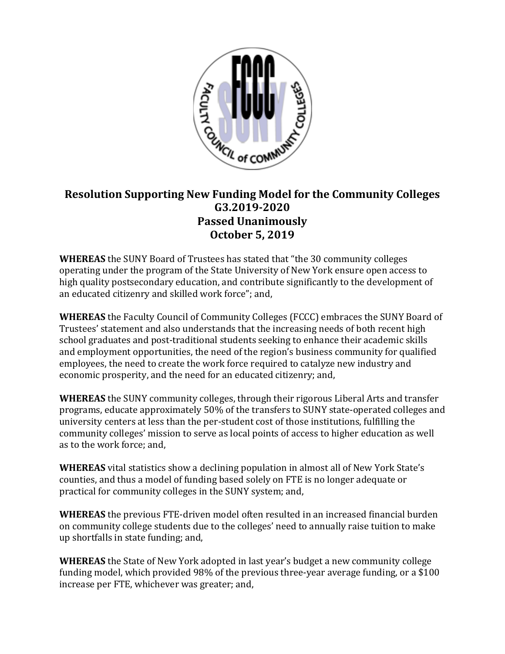

## **Resolution Supporting New Funding Model for the Community Colleges G3.2019-2020 Passed Unanimously October 5, 2019**

**WHEREAS** the SUNY Board of Trustees has stated that "the 30 community colleges operating under the program of the State University of New York ensure open access to high quality postsecondary education, and contribute significantly to the development of an educated citizenry and skilled work force"; and,

**WHEREAS** the Faculty Council of Community Colleges (FCCC) embraces the SUNY Board of Trustees' statement and also understands that the increasing needs of both recent high school graduates and post-traditional students seeking to enhance their academic skills and employment opportunities, the need of the region's business community for qualified employees, the need to create the work force required to catalyze new industry and economic prosperity, and the need for an educated citizenry; and,

**WHEREAS** the SUNY community colleges, through their rigorous Liberal Arts and transfer programs, educate approximately 50% of the transfers to SUNY state-operated colleges and university centers at less than the per-student cost of those institutions, fulfilling the community colleges' mission to serve as local points of access to higher education as well as to the work force; and,

**WHEREAS** vital statistics show a declining population in almost all of New York State's counties, and thus a model of funding based solely on FTE is no longer adequate or practical for community colleges in the SUNY system; and,

**WHEREAS** the previous FTE-driven model often resulted in an increased financial burden on community college students due to the colleges' need to annually raise tuition to make up shortfalls in state funding; and,

**WHEREAS** the State of New York adopted in last year's budget a new community college funding model, which provided 98% of the previous three-year average funding, or a \$100 increase per FTE, whichever was greater; and,